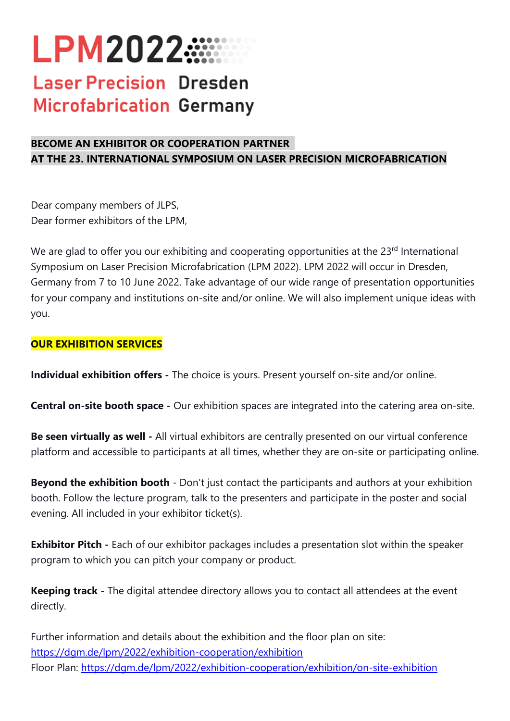# **LPM2022.....**

# **Laser Precision Dresden Microfabrication Germany**

## **BECOME AN EXHIBITOR OR COOPERATION PARTNER AT THE 23. INTERNATIONAL SYMPOSIUM ON LASER PRECISION MICROFABRICATION**

Dear company members of JLPS, Dear former exhibitors of the LPM,

We are glad to offer you our exhibiting and cooperating opportunities at the 23<sup>rd</sup> International Symposium on Laser Precision Microfabrication (LPM 2022). LPM 2022 will occur in Dresden, Germany from 7 to 10 June 2022. Take advantage of our wide range of presentation opportunities for your company and institutions on-site and/or online. We will also implement unique ideas with you.

### **OUR EXHIBITION SERVICES**

**Individual exhibition offers -** The choice is yours. Present yourself on-site and/or online.

**Central on-site booth space -** Our exhibition spaces are integrated into the catering area on-site.

**Be seen virtually as well -** All virtual exhibitors are centrally presented on our virtual conference platform and accessible to participants at all times, whether they are on-site or participating online.

**Beyond the exhibition booth** - Don't just contact the participants and authors at your exhibition booth. Follow the lecture program, talk to the presenters and participate in the poster and social evening. All included in your exhibitor ticket(s).

**Exhibitor Pitch -** Each of our exhibitor packages includes a presentation slot within the speaker program to which you can pitch your company or product.

**Keeping track -** The digital attendee directory allows you to contact all attendees at the event directly.

Further information and details about the exhibition and the floor plan on site: https://dgm.de/lpm/2022/exhibition-cooperation/exhibition Floor Plan: https://dgm.de/lpm/2022/exhibition-cooperation/exhibition/on-site-exhibition